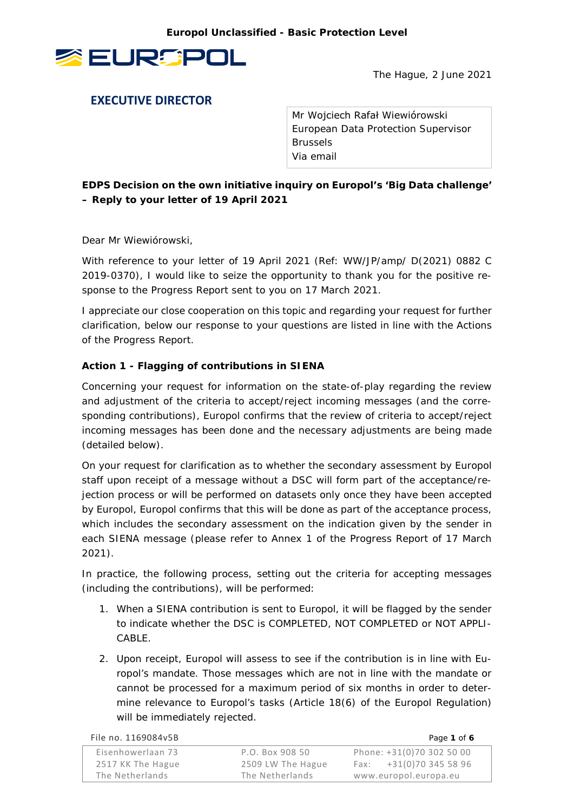

The Hague, 2 June 2021

# **EXECUTIVE DIRECTOR**

Mr Wojciech Rafał Wiewiórowski European Data Protection Supervisor Brussels Via email

**EDPS Decision on the own initiative inquiry on Europol's 'Big Data challenge' – Reply to your letter of 19 April 2021**

Dear Mr Wiewiórowski,

With reference to your letter of 19 April 2021 (Ref: WW/JP/amp/ D(2021) 0882 C 2019-0370), I would like to seize the opportunity to thank you for the positive response to the Progress Report sent to you on 17 March 2021.

I appreciate our close cooperation on this topic and regarding your request for further clarification, below our response to your questions are listed in line with the Actions of the Progress Report.

# **Action 1 - Flagging of contributions in SIENA**

Concerning your request for information on the state-of-play regarding the review and adjustment of the criteria to accept/reject incoming messages (and the corresponding contributions), Europol confirms that the review of criteria to accept/reject incoming messages has been done and the necessary adjustments are being made (detailed below).

On your request for clarification as to whether the secondary assessment by Europol staff upon receipt of a message without a DSC will form part of the acceptance/rejection process or will be performed on datasets only once they have been accepted by Europol, Europol confirms that this will be done as part of the acceptance process, which includes the secondary assessment on the indication given by the sender in each SIENA message (please refer to Annex 1 of the Progress Report of 17 March 2021).

In practice, the following process, setting out the criteria for accepting messages (including the contributions), will be performed:

- 1. When a SIENA contribution is sent to Europol, it will be flagged by the sender to indicate whether the DSC is *COMPLETED*, *NOT COMPLETED* or *NOT APPLI-CABLE*.
- 2. Upon receipt, Europol will assess to see if the contribution is in line with Europol's mandate. Those messages which are not in line with the mandate or cannot be processed for a maximum period of six months in order to determine relevance to Europol's tasks (Article 18(6) of the Europol Regulation) will be immediately rejected.

| File no. 1169084v5B |                   | Page 1 of 6               |
|---------------------|-------------------|---------------------------|
| Eisenhowerlaan 73   | P.O. Box 908 50   | Phone: +31(0)70 302 50 00 |
| 2517 KK The Hague   | 2509 LW The Hague | Fax: $+31(0)703455896$    |
| The Netherlands     | The Netherlands   | www.europol.europa.eu     |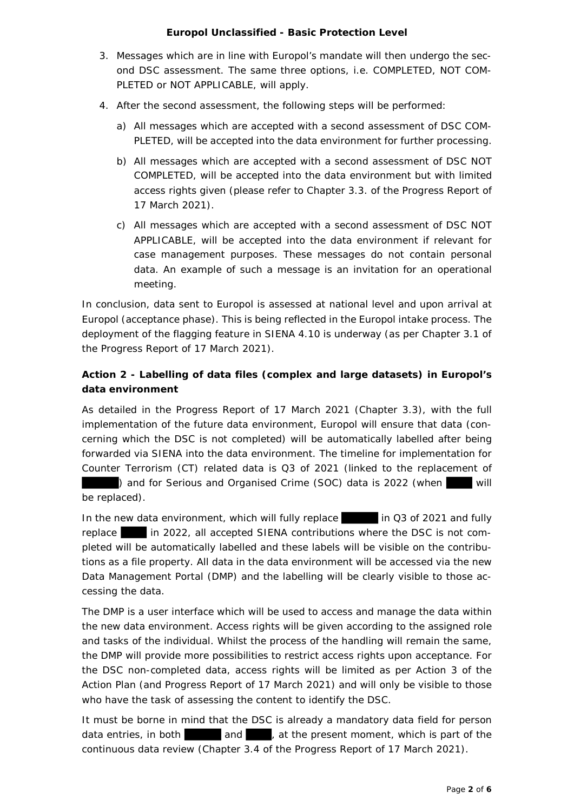- 3. Messages which are in line with Europol's mandate will then undergo the second DSC assessment. The same three options, i.e. *COMPLETED*, *NOT COM-PLETED* or *NOT APPLICABLE*, will apply.
- 4. After the second assessment, the following steps will be performed:
	- a) All messages which are accepted with a second assessment of DSC COM-PLETED, will be accepted into the data environment for further processing.
	- b) All messages which are accepted with a second assessment of DSC NOT COMPLETED, will be accepted into the data environment but with limited access rights given (please refer to Chapter 3.3. of the Progress Report of 17 March 2021).
	- c) All messages which are accepted with a second assessment of DSC NOT APPLICABLE, will be accepted into the data environment if relevant for case management purposes. These messages do not contain personal data. An example of such a message is an invitation for an operational meeting.

In conclusion, data sent to Europol is assessed at national level and upon arrival at Europol (acceptance phase). This is being reflected in the Europol intake process. The deployment of the flagging feature in SIENA 4.10 is underway (as per Chapter 3.1 of the Progress Report of 17 March 2021).

# **Action 2 - Labelling of data files (complex and large datasets) in Europol's data environment**

As detailed in the Progress Report of 17 March 2021 (Chapter 3.3), with the full implementation of the future data environment, Europol will ensure that data (concerning which the DSC is not completed) will be automatically labelled after being forwarded via SIENA into the data environment. The timeline for implementation for Counter Terrorism (CT) related data is Q3 of 2021 (linked to the replacement of

) and for Serious and Organised Crime (SOC) data is 2022 (when will be replaced).

In the new data environment, which will fully replace in Q3 of 2021 and fully replace in 2022, all accepted SIENA contributions where the DSC is not completed will be automatically labelled and these labels will be visible on the contributions as a file property. All data in the data environment will be accessed via the new Data Management Portal (DMP) and the labelling will be clearly visible to those accessing the data.

The DMP is a user interface which will be used to access and manage the data within the new data environment. Access rights will be given according to the assigned role and tasks of the individual. Whilst the process of the handling will remain the same, the DMP will provide more possibilities to restrict access rights upon acceptance. For the DSC non-completed data, access rights will be limited as per Action 3 of the Action Plan (and Progress Report of 17 March 2021) and will only be visible to those who have the task of assessing the content to identify the DSC.

It must be borne in mind that the DSC is already a mandatory data field for person data entries, in both and , at the present moment, which is part of the continuous data review (Chapter 3.4 of the Progress Report of 17 March 2021).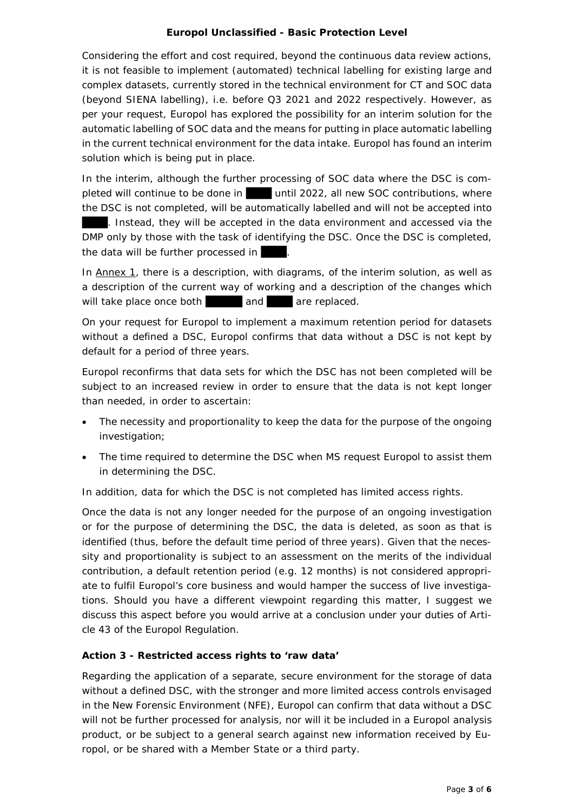Considering the effort and cost required, beyond the continuous data review actions, it is not feasible to implement (automated) technical labelling for existing large and complex datasets, currently stored in the technical environment for CT and SOC data (beyond SIENA labelling), i.e. before Q3 2021 and 2022 respectively. However, as per your request, Europol has explored the possibility for an interim solution for the automatic labelling of SOC data and the means for putting in place automatic labelling in the current technical environment for the data intake. Europol has found an interim solution which is being put in place.

In the interim, although the further processing of SOC data where the DSC is completed will continue to be done in until 2022, all new SOC contributions, where the DSC is not completed, will be automatically labelled and will not be accepted into . Instead, they will be accepted in the data environment and accessed via the DMP only by those with the task of identifying the DSC. Once the DSC is completed, the data will be further processed in

In Annex 1, there is a description, with diagrams, of the interim solution, as well as a description of the current way of working and a description of the changes which will take place once both and are replaced.

On your request for Europol to implement a maximum retention period for datasets without a defined a DSC, Europol confirms that data without a DSC is not kept by default for a period of three years.

Europol reconfirms that data sets for which the DSC has not been completed will be subject to an increased review in order to ensure that the data is not kept longer than needed, in order to ascertain:

- The necessity and proportionality to keep the data for the purpose of the ongoing investigation;
- The time required to determine the DSC when MS request Europol to assist them in determining the DSC.

In addition, data for which the DSC is not completed has limited access rights.

Once the data is not any longer needed for the purpose of an ongoing investigation or for the purpose of determining the DSC, the data is deleted, as soon as that is identified (thus, before the default time period of three years). Given that the necessity and proportionality is subject to an assessment on the merits of the individual contribution, a default retention period (e.g. 12 months) is not considered appropriate to fulfil Europol's core business and would hamper the success of live investigations. Should you have a different viewpoint regarding this matter, I suggest we discuss this aspect before you would arrive at a conclusion under your duties of Article 43 of the Europol Regulation.

# **Action 3 - Restricted access rights to 'raw data'**

Regarding the application of a separate, secure environment for the storage of data without a defined DSC, with the stronger and more limited access controls envisaged in the New Forensic Environment (NFE), Europol can confirm that data without a DSC will not be further processed for analysis, nor will it be included in a Europol analysis product, or be subject to a general search against new information received by Europol, or be shared with a Member State or a third party.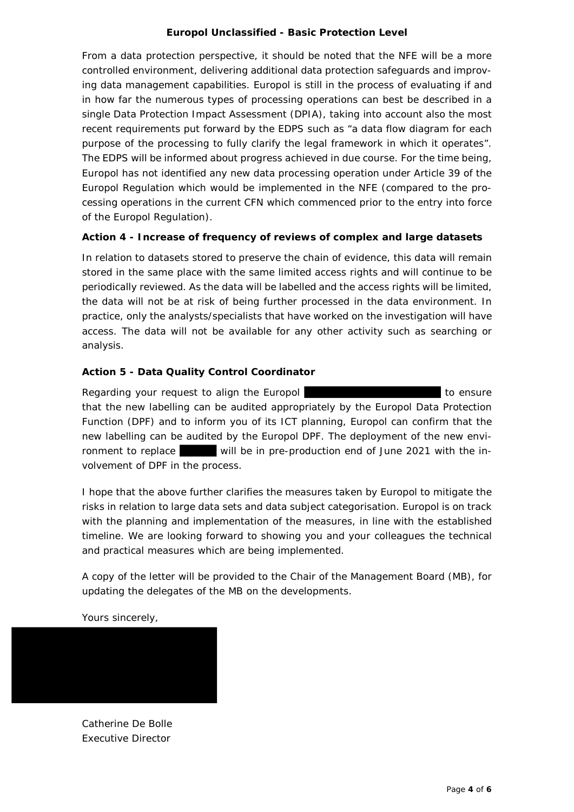From a data protection perspective, it should be noted that the NFE will be a more controlled environment, delivering additional data protection safeguards and improving data management capabilities. Europol is still in the process of evaluating if and in how far the numerous types of processing operations can best be described in a single Data Protection Impact Assessment (DPIA), taking into account also the most recent requirements put forward by the EDPS such as "a data flow diagram for each purpose of the processing to fully clarify the legal framework in which it operates". The EDPS will be informed about progress achieved in due course. For the time being, Europol has not identified any new data processing operation under Article 39 of the Europol Regulation which would be implemented in the NFE (compared to the processing operations in the current CFN which commenced prior to the entry into force of the Europol Regulation).

# **Action 4 - Increase of frequency of reviews of complex and large datasets**

In relation to datasets stored to preserve the chain of evidence, this data will remain stored in the same place with the same limited access rights and will continue to be periodically reviewed. As the data will be labelled and the access rights will be limited, the data will not be at risk of being further processed in the data environment. In practice, only the analysts/specialists that have worked on the investigation will have access. The data will not be available for any other activity such as searching or analysis.

# **Action 5 - Data Quality Control Coordinator**

Regarding your request to align the Europol to ensure to ensure that the new labelling can be audited appropriately by the Europol Data Protection Function (DPF) and to inform you of its ICT planning, Europol can confirm that the new labelling can be audited by the Europol DPF. The deployment of the new environment to replace will be in pre-production end of June 2021 with the involvement of DPF in the process.

I hope that the above further clarifies the measures taken by Europol to mitigate the risks in relation to large data sets and data subject categorisation. Europol is on track with the planning and implementation of the measures, in line with the established timeline. We are looking forward to showing you and your colleagues the technical and practical measures which are being implemented.

A copy of the letter will be provided to the Chair of the Management Board (MB), for updating the delegates of the MB on the developments.

Yours sincerely,

Catherine De Bolle Executive Director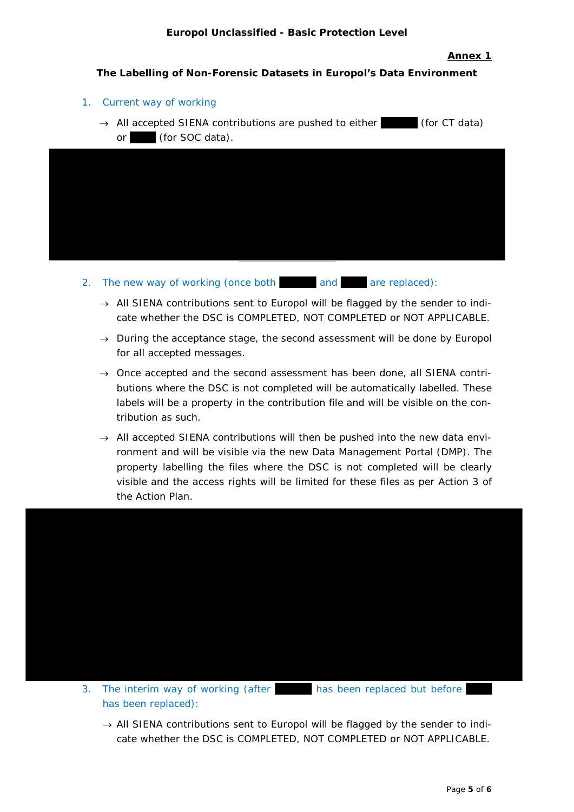#### **Annex 1**

#### **The Labelling of Non-Forensic Datasets in Europol's Data Environment**

- 1. Current way of working
	- $\rightarrow$  All accepted SIENA contributions are pushed to either (for CT data) or (for SOC data).



- 2. The new way of working (once both and are replaced):
	- $\rightarrow$  All SIENA contributions sent to Europol will be flagged by the sender to indicate whether the DSC is COMPLETED, NOT COMPLETED or NOT APPLICABLE.
	- $\rightarrow$  During the acceptance stage, the second assessment will be done by Europol for all accepted messages.
	- $\rightarrow$  Once accepted and the second assessment has been done, all SIENA contributions where the DSC is not completed will be automatically labelled. These labels will be a property in the contribution file and will be visible on the contribution as such.
	- $\rightarrow$  All accepted SIENA contributions will then be pushed into the new data environment and will be visible via the new Data Management Portal (DMP). The property labelling the files where the DSC is not completed will be clearly visible and the access rights will be limited for these files as per Action 3 of the Action Plan.



3. The interim way of working (after has been replaced but before has been replaced):

 $\rightarrow$  All SIENA contributions sent to Europol will be flagged by the sender to indicate whether the DSC is COMPLETED, NOT COMPLETED or NOT APPLICABLE.